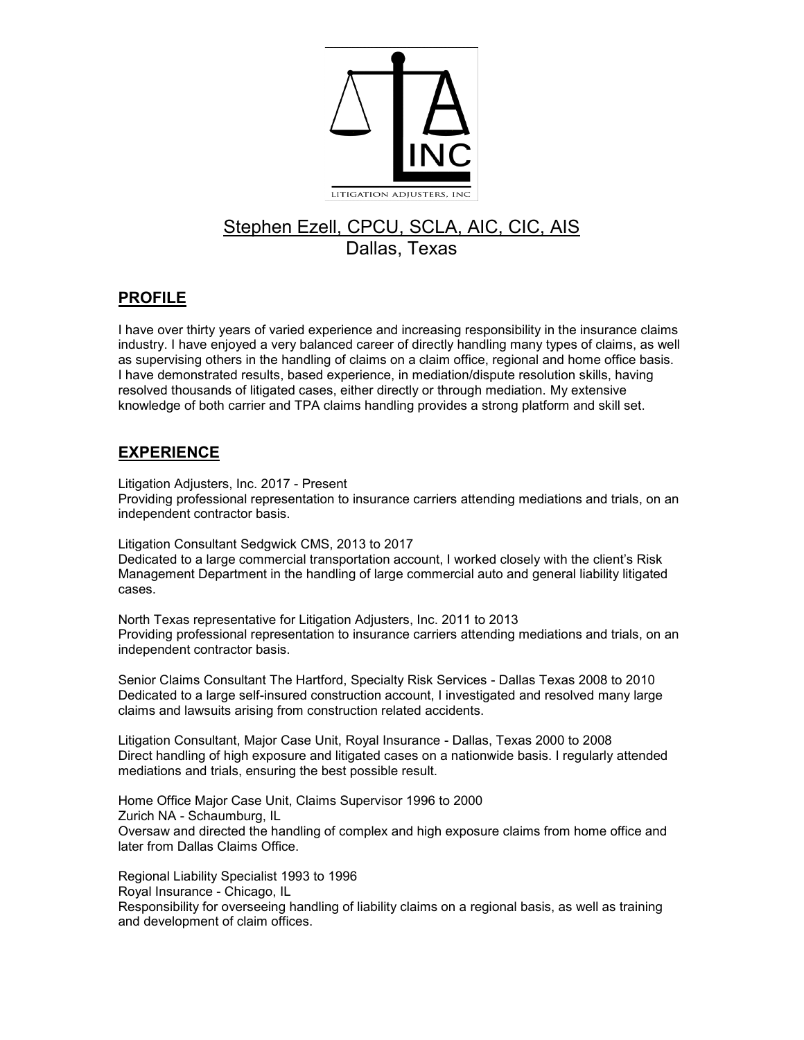

## Stephen Ezell, CPCU, SCLA, AIC, CIC, AIS Dallas, Texas

## **PROFILE**

I have over thirty years of varied experience and increasing responsibility in the insurance claims industry. I have enjoyed a very balanced career of directly handling many types of claims, as well as supervising others in the handling of claims on a claim office, regional and home office basis. I have demonstrated results, based experience, in mediation/dispute resolution skills, having resolved thousands of litigated cases, either directly or through mediation. My extensive knowledge of both carrier and TPA claims handling provides a strong platform and skill set.

## **EXPERIENCE**

Litigation Adjusters, Inc. 2017 - Present

Providing professional representation to insurance carriers attending mediations and trials, on an independent contractor basis.

Litigation Consultant Sedgwick CMS, 2013 to 2017 Dedicated to a large commercial transportation account, I worked closely with the client's Risk Management Department in the handling of large commercial auto and general liability litigated cases.

North Texas representative for Litigation Adjusters, Inc. 2011 to 2013 Providing professional representation to insurance carriers attending mediations and trials, on an independent contractor basis.

Senior Claims Consultant The Hartford, Specialty Risk Services - Dallas Texas 2008 to 2010 Dedicated to a large self-insured construction account, I investigated and resolved many large claims and lawsuits arising from construction related accidents.

Litigation Consultant, Major Case Unit, Royal Insurance - Dallas, Texas 2000 to 2008 Direct handling of high exposure and litigated cases on a nationwide basis. I regularly attended mediations and trials, ensuring the best possible result.

Home Office Major Case Unit, Claims Supervisor 1996 to 2000 Zurich NA - Schaumburg, IL Oversaw and directed the handling of complex and high exposure claims from home office and later from Dallas Claims Office.

Regional Liability Specialist 1993 to 1996 Royal Insurance - Chicago, IL Responsibility for overseeing handling of liability claims on a regional basis, as well as training and development of claim offices.